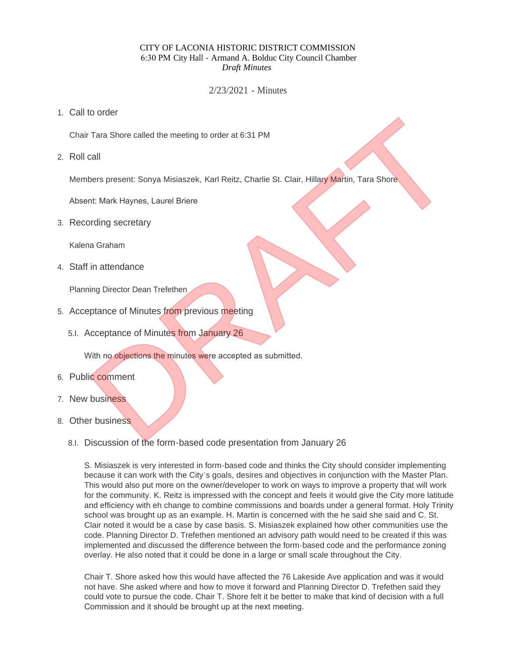#### CITY OF LACONIA HISTORIC DISTRICT COMMISSION 6:30 PM City Hall - Armand A. Bolduc City Council Chamber *Draft Minutes*

2/23/2021 - Minutes

Call to order 1.

Chair Tara Shore called the meeting to order at 6:31 PM

2. Roll call

Members present: Sonya Misiaszek, Karl Reitz, Charlie St. Clair, Hillary Martin, Tara Shore Tara Shore called the meeting to order at 6:31 PM<br>call<br>there spessent: Sonya Misiaszek, Karl Reitz, Charlie St. Clair, Hillary Martin, Tara Shore<br>nt. Mark Haynes, Laurel Briene<br>ording secretary<br>and Graham<br>ting Director Dea

Absent: Mark Haynes, Laurel Briere

3. Recording secretary

Kalena Graham

Staff in attendance 4.

Planning Director Dean Trefethen

- 5. Acceptance of Minutes from previous meeting
	- 5.I. Acceptance of Minutes from January 26

With no objections the minutes were accepted as submitted.

- 6. Public comment
- 7. New business
- 8. Other business
	- 8.I. Discussion of the form-based code presentation from January 26

S. Misiaszek is very interested in form-based code and thinks the City should consider implementing because it can work with the City's goals, desires and objectives in conjunction with the Master Plan. This would also put more on the owner/developer to work on ways to improve a property that will work for the community. K. Reitz is impressed with the concept and feels it would give the City more latitude and efficiency with eh change to combine commissions and boards under a general format. Holy Trinity school was brought up as an example. H. Martin is concerned with the he said she said and C. St. Clair noted it would be a case by case basis. S. Misiaszek explained how other communities use the code. Planning Director D. Trefethen mentioned an advisory path would need to be created if this was implemented and discussed the difference between the form-based code and the performance zoning overlay. He also noted that it could be done in a large or small scale throughout the City.

Chair T. Shore asked how this would have affected the 76 Lakeside Ave application and was it would not have. She asked where and how to move it forward and Planning Director D. Trefethen said they could vote to pursue the code. Chair T. Shore felt it be better to make that kind of decision with a full Commission and it should be brought up at the next meeting.